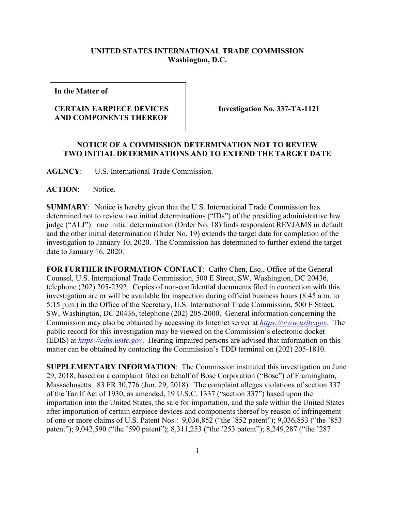## **UNITED STATES INTERNATIONAL TRADE COMMISSION Washington, D.C.**

**In the Matter of**

## **CERTAIN EARPIECE DEVICES AND COMPONENTS THEREOF**

**Investigation No. 337-TA-1121**

## **NOTICE OF A COMMISSION DETERMINATION NOT TO REVIEW TWO INITIAL DETERMINATIONS AND TO EXTEND THE TARGET DATE**

**AGENCY**: U.S. International Trade Commission.

**ACTION**: Notice.

**SUMMARY**: Notice is hereby given that the U.S. International Trade Commission has determined not to review two initial determinations ("IDs") of the presiding administrative law judge ("ALJ"): one initial determination (Order No. 18) finds respondent REVJAMS in default and the other initial determination (Order No. 19) extends the target date for completion of the investigation to January 10, 2020. The Commission has determined to further extend the target date to January 16, 2020.

FOR FURTHER INFORMATION CONTACT: Cathy Chen, Esq., Office of the General Counsel, U.S. International Trade Commission, 500 E Street, SW, Washington, DC 20436, telephone (202) 205-2392. Copies of non-confidential documents filed in connection with this investigation are or will be available for inspection during official business hours (8:45 a.m. to 5:15 p.m.) in the Office of the Secretary, U.S. International Trade Commission, 500 E Street, SW, Washington, DC 20436, telephone (202) 205-2000. General information concerning the Commission may also be obtained by accessing its Internet server at *[https://www.usitc.gov](https://www.usitc.gov/)*. The public record for this investigation may be viewed on the Commission's electronic docket (EDIS) at *[https://edis.usitc.gov](https://edis.usitc.gov/)*. Hearing-impaired persons are advised that information on this matter can be obtained by contacting the Commission's TDD terminal on (202) 205-1810.

**SUPPLEMENTARY INFORMATION**: The Commission instituted this investigation on June 29, 2018, based on a complaint filed on behalf of Bose Corporation ("Bose") of Framingham, Massachusetts. 83 FR 30,776 (Jun. 29, 2018). The complaint alleges violations of section 337 of the Tariff Act of 1930, as amended, 19 U.S.C. 1337 ("section 337") based upon the importation into the United States, the sale for importation, and the sale within the United States after importation of certain earpiece devices and components thereof by reason of infringement of one or more claims of U.S. Patent Nos.: 9,036,852 ("the '852 patent"); 9,036,853 ("the '853 patent"); 9,042,590 ("the '590 patent"); 8,311,253 ("the '253 patent"); 8,249,287 ("the '287